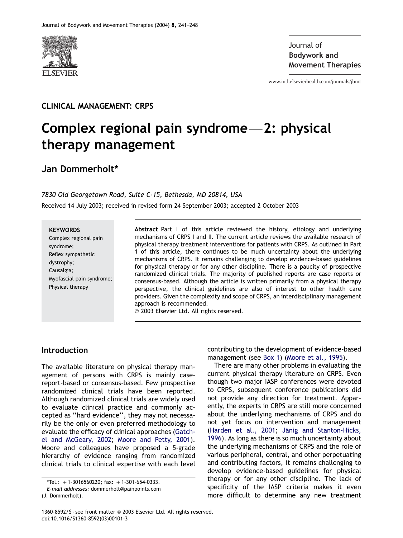

**Bodywork and** Journal of**Movement Therapies**

www.intl.elsevierhealth.com/journals/jbmt

# CLINICAL MANAGEMENT: CRPS

# Complex regional pain syndrome $-2$ : physical therapy management

# Jan Dommerholt\*

7830 Old Georgetown Road, Suite C-15, Bethesda, MD 20814, USA Received 14 July 2003; received in revised form 24 September 2003; accepted 2 October 2003

#### **KEYWORDS**

Complex regional pain syndrome; Reflex sympathetic dystrophy; Causalgia; Myofascial pain syndrome; Physical therapy

Abstract Part I of this article reviewed the history, etiology and underlying mechanisms of CRPS I and II. The current article reviews the available research of physical therapy treatment interventions for patients with CRPS. As outlined in Part 1 of this article, there continues to be much uncertainty about the underlying mechanisms of CRPS. It remains challenging to develop evidence-based guidelines for physical therapy or for any other discipline. There is a paucity of prospective randomized clinical trials. The majority of published reports are case reports or consensus-based. Although the article is written primarily from a physical therapy perspective, the clinical guidelines are also of interest to other health care providers. Given the complexity and scope of CRPS, an interdisciplinary management approach is recommended.

& 2003 Elsevier Ltd. All rights reserved.

# Introduction

The available literature on physical therapy management of persons with CRPS is mainly casereport-based or consensus-based. Few prospective randomized clinical trials have been reported. Although randomized clinical trials are widely used to evaluate clinical practice and commonly accepted as ''hard evidence'', they may not necessarily be the only or even preferred methodology to evaluate the efficacy of clinical approaches ([Gatch](#page-5-0)[el and McGeary, 2002;](#page-5-0) [Moore and Petty, 2001](#page-5-0)). Moore and colleagues have proposed a 5-grade hierarchy of evidence ranging from randomized clinical trials to clinical expertise with each level

contributing to the development of evidence-based management (see [Box 1](#page-1-0)) [\(Moore et al., 1995](#page-5-0)).

There are many other problems in evaluating the current physical therapy literature on CRPS. Even though two major IASP conferences were devoted to CRPS, subsequent conference publications did not provide any direction for treatment. Apparently, the experts in CRPS are still more concerned about the underlying mechanisms of CRPS and do not yet focus on intervention and management [\(Harden et al., 2001](#page-5-0); Jänig and Stanton-Hicks, [1996](#page-5-0)). As long as there is so much uncertainty about the underlying mechanisms of CRPS and the role of various peripheral, central, and other perpetuating and contributing factors, it remains challenging to develop evidence-based guidelines for physical therapy or for any other discipline. The lack of specificity of the IASP criteria makes it even more difficult to determine any new treatment

<sup>\*</sup>Tel.:  $+1-3016560220$ : fax:  $+1-301-654-0333$ .

E-mail addresses: dommerholt@painpoints.com

<sup>(</sup>J. Dommerholt).

<sup>1360-8592/\$ -</sup> see front matter © 2003 Elsevier Ltd. All rights reserved. doi:10.1016/S1360-8592(03)00101-3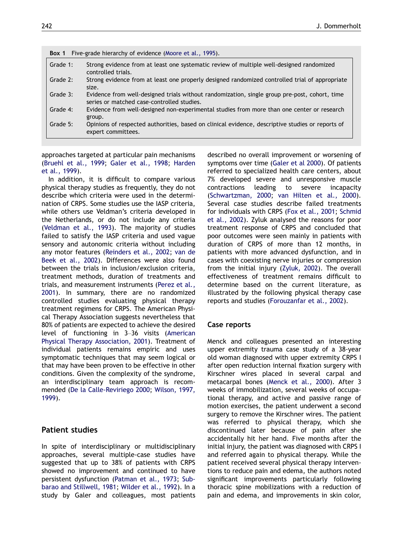<span id="page-1-0"></span>

| <b>Box 1</b> Five-grade hierarchy of evidence (Moore et al., 1995). |                                                                                                                                             |
|---------------------------------------------------------------------|---------------------------------------------------------------------------------------------------------------------------------------------|
| Grade 1:                                                            | Strong evidence from at least one systematic review of multiple well-designed randomized<br>controlled trials.                              |
| Grade 2:                                                            | Strong evidence from at least one properly designed randomized controlled trial of appropriate<br>size.                                     |
| Grade 3:                                                            | Evidence from well-designed trials without randomization, single group pre-post, cohort, time<br>series or matched case-controlled studies. |
| Grade 4:                                                            | Evidence from well-designed non-experimental studies from more than one center or research<br>group.                                        |
| Grade 5:                                                            | Opinions of respected authorities, based on clinical evidence, descriptive studies or reports of<br>expert committees.                      |

approaches targeted at particular pain mechanisms [\(Bruehl et al., 1999;](#page-5-0) [Galer et al., 1998](#page-5-0); [Harden](#page-5-0) [et al., 1999\)](#page-5-0).

In addition, it is difficult to compare various physical therapy studies as frequently, they do not describe which criteria were used in the determination of CRPS. Some studies use the IASP criteria, while others use Veldman's criteria developed in the Netherlands, or do not include any criteria [\(Veldman et al., 1993](#page-6-0)). The majority of studies failed to satisfy the IASP criteria and used vague sensory and autonomic criteria without including any motor features ([Reinders et al., 2002;](#page-6-0) [van de](#page-6-0) [Beek et al., 2002\)](#page-6-0). Differences were also found between the trials in inclusion/exclusion criteria, treatment methods, duration of treatments and trials, and measurement instruments [\(Perez et al.,](#page-6-0) [2001](#page-6-0)). In summary, there are no randomized controlled studies evaluating physical therapy treatment regimens for CRPS. The American Physical Therapy Association suggests nevertheless that 80% of patients are expected to achieve the desired level of functioning in 3–36 visits [\(American](#page-5-0) [Physical Therapy Association, 2001](#page-5-0)). Treatment of individual patients remains empiric and uses symptomatic techniques that may seem logical or that may have been proven to be effective in other conditions. Given the complexity of the syndrome, an interdisciplinary team approach is recommended [\(De la Calle-Reviriego 2000](#page-5-0); [Wilson, 1997,](#page-7-0) [1999](#page-7-0)).

## Patient studies

In spite of interdisciplinary or multidisciplinary approaches, several multiple-case studies have suggested that up to 38% of patients with CRPS showed no improvement and continued to have persistent dysfunction [\(Patman et al., 1973](#page-6-0); [Sub](#page-6-0)[barao and Stillwell, 1981](#page-6-0); [Wilder et al., 1992](#page-6-0)). In a study by Galer and colleagues, most patients

described no overall improvement or worsening of symptoms over time ([Galer et al 2000](#page-5-0)). Of patients referred to specialized health care centers, about 7% developed severe and unresponsive muscle contractions leading to severe incapacity [\(Schwartzman, 2000](#page-6-0); [van Hilten et al., 2000](#page-6-0)). Several case studies describe failed treatments for individuals with CRPS ([Fox et al., 2001](#page-5-0); [Schmid](#page-6-0) [et al., 2002](#page-6-0)). Zyluk analysed the reasons for poor treatment response of CRPS and concluded that poor outcomes were seen mainly in patients with duration of CRPS of more than 12 months, in patients with more advanced dysfunction, and in cases with coexisting nerve injuries or compression from the initial injury [\(Zyluk, 2002\)](#page-7-0). The overall effectiveness of treatment remains difficult to determine based on the current literature, as illustrated by the following physical therapy case reports and studies [\(Forouzanfar et al., 2002\)](#page-5-0).

#### Case reports

Menck and colleagues presented an interesting upper extremity trauma case study of a 38-year old woman diagnosed with upper extremity CRPS I after open reduction internal fixation surgery with Kirschner wires placed in several carpal and metacarpal bones [\(Menck et al., 2000](#page-5-0)). After 3 weeks of immobilization, several weeks of occupational therapy, and active and passive range of motion exercises, the patient underwent a second surgery to remove the Kirschner wires. The patient was referred to physical therapy, which she discontinued later because of pain after she accidentally hit her hand. Five months after the initial injury, the patient was diagnosed with CRPS I and referred again to physical therapy. While the patient received several physical therapy interventions to reduce pain and edema, the authors noted significant improvements particularly following thoracic spine mobilizations with a reduction of pain and edema, and improvements in skin color,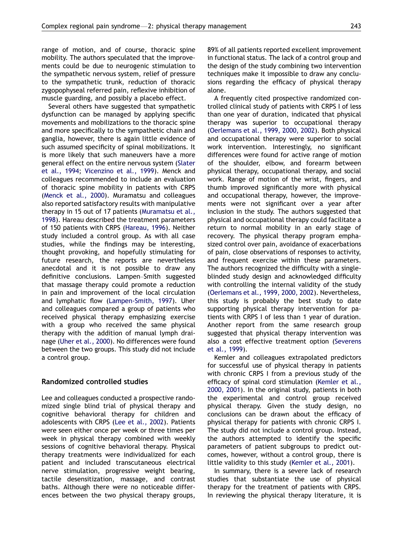range of motion, and of course, thoracic spine mobility. The authors speculated that the improvements could be due to neurogenic stimulation to the sympathetic nervous system, relief of pressure to the sympathetic trunk, reduction of thoracic zygopophyseal referred pain, reflexive inhibition of muscle guarding, and possibly a placebo effect.

Several others have suggested that sympathetic dysfunction can be managed by applying specific movements and mobilizations to the thoracic spine and more specifically to the sympathetic chain and ganglia, however, there is again little evidence of such assumed specificity of spinal mobilizations. It is more likely that such maneuvers have a more general effect on the entire nervous system ([Slater](#page-6-0) [et al., 1994;](#page-6-0) [Vicenzino et al., 1999\)](#page-6-0). Menck and colleagues recommended to include an evaluation of thoracic spine mobility in patients with CRPS [\(Menck et al., 2000\)](#page-5-0). Muramatsu and colleagues also reported satisfactory results with manipulative therapy in 15 out of 17 patients ([Muramatsu et al.,](#page-6-0) [1998](#page-6-0)). Hareau described the treatment parameters of 150 patients with CRPS [\(Hareau, 1996\)](#page-5-0). Neither study included a control group. As with all case studies, while the findings may be interesting, thought provoking, and hopefully stimulating for future research, the reports are nevertheless anecdotal and it is not possible to draw any definitive conclusions. Lampen–Smith suggested that massage therapy could promote a reduction in pain and improvement of the local circulation and lymphatic flow ([Lampen-Smith, 1997\)](#page-5-0). Uher and colleagues compared a group of patients who received physical therapy emphasizing exercise with a group who received the same physical therapy with the addition of manual lymph drainage ([Uher et al., 2000\)](#page-6-0). No differences were found between the two groups. This study did not include a control group.

#### Randomized controlled studies

Lee and colleagues conducted a prospective randomized single blind trial of physical therapy and cognitive behavioral therapy for children and adolescents with CRPS ([Lee et al., 2002\)](#page-5-0). Patients were seen either once per week or three times per week in physical therapy combined with weekly sessions of cognitive behavioral therapy. Physical therapy treatments were individualized for each patient and included transcutaneous electrical nerve stimulation, progressive weight bearing, tactile desensitization, massage, and contrast baths. Although there were no noticeable differences between the two physical therapy groups,

89% of all patients reported excellent improvement in functional status. The lack of a control group and the design of the study combining two intervention techniques make it impossible to draw any conclusions regarding the efficacy of physical therapy alone.

A frequently cited prospective randomized controlled clinical study of patients with CRPS I of less than one year of duration, indicated that physical therapy was superior to occupational therapy [\(Oerlemans et al., 1999, 2000, 2002](#page-6-0)). Both physical and occupational therapy were superior to social work intervention. Interestingly, no significant differences were found for active range of motion of the shoulder, elbow, and forearm between physical therapy, occupational therapy, and social work. Range of motion of the wrist, fingers, and thumb improved significantly more with physical and occupational therapy, however, the improvements were not significant over a year after inclusion in the study. The authors suggested that physical and occupational therapy could facilitate a return to normal mobility in an early stage of recovery. The physical therapy program emphasized control over pain, avoidance of exacerbations of pain, close observations of responses to activity, and frequent exercise within these parameters. The authors recognized the difficulty with a singleblinded study design and acknowledged difficulty with controlling the internal validity of the study [\(Oerlemans et al., 1999, 2000, 2002\)](#page-6-0). Nevertheless, this study is probably the best study to date supporting physical therapy intervention for patients with CRPS I of less than 1 year of duration. Another report from the same research group suggested that physical therapy intervention was also a cost effective treatment option ([Severens](#page-6-0) [et al., 1999\)](#page-6-0).

Kemler and colleagues extrapolated predictors for successful use of physical therapy in patients with chronic CRPS I from a previous study of the efficacy of spinal cord stimulation ([Kemler et al.,](#page-5-0) [2000, 2001](#page-5-0)). In the original study, patients in both the experimental and control group received physical therapy. Given the study design, no conclusions can be drawn about the efficacy of physical therapy for patients with chronic CRPS I. The study did not include a control group. Instead, the authors attempted to identify the specific parameters of patient subgroups to predict outcomes, however, without a control group, there is little validity to this study ([Kemler et al., 2001\)](#page-5-0).

In summary, there is a severe lack of research studies that substantiate the use of physical therapy for the treatment of patients with CRPS. In reviewing the physical therapy literature, it is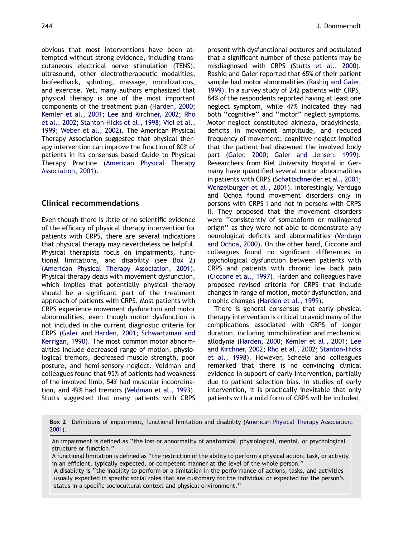obvious that most interventions have been attempted without strong evidence, including transcutaneous electrical nerve stimulation (TENS), ultrasound, other electrotherapeutic modalities, biofeedback, splinting, massage, mobilizations, and exercise. Yet, many authors emphasized that physical therapy is one of the most important components of the treatment plan [\(Harden, 2000](#page-5-0); [Kemler et al., 2001](#page-5-0); [Lee and Kirchner, 2002](#page-5-0); [Rho](#page-6-0) [et al., 2002;](#page-6-0) [Stanton-Hicks et al., 1998;](#page-6-0) [Viel et al.,](#page-6-0) [1999](#page-6-0); [Weber et al., 2002\)](#page-6-0). The American Physical Therapy Association suggested that physical therapy intervention can improve the function of 80% of patients in its consensus based Guide to Physical Therapy Practice ([American Physical Therapy](#page-5-0) [Association, 2001\)](#page-5-0).

# Clinical recommendations

Even though there is little or no scientific evidence of the efficacy of physical therapy intervention for patients with CRPS, there are several indications that physical therapy may nevertheless be helpful. Physical therapists focus on impairments, functional limitations, and disability (see Box 2) [\(American Physical Therapy Association, 2001](#page-5-0)). Physical therapy deals with movement dysfunction, which implies that potentially physical therapy should be a significant part of the treatment approach of patients with CRPS. Most patients with CRPS experience movement dysfunction and motor abnormalities, even though motor dysfunction is not included in the current diagnostic criteria for CRPS ([Galer and Harden, 2001](#page-5-0); [Schwartzman and](#page-6-0) [Kerrigan, 1990](#page-6-0)). The most common motor abnormalities include decreased range of motion, physiological tremors, decreased muscle strength, poor posture, and hemi-sensory neglect. Veldman and colleagues found that 95% of patients had weakness of the involved limb, 54% had muscular incoordination, and 49% had tremors [\(Veldman et al., 1993](#page-6-0)). Stutts suggested that many patients with CRPS

present with dysfunctional postures and postulated that a significant number of these patients may be misdiagnosed with CRPS ([Stutts et al., 2000](#page-6-0)). Rashiq and Galer reported that 65% of their patient sample had motor abnormalities ([Rashiq and Galer,](#page-6-0) [1999](#page-6-0)). In a survey study of 242 patients with CRPS, 84% of the respondents reported having at least one neglect symptom, while 47% indicated they had both ''cognitive'' and ''motor'' neglect symptoms. Motor neglect constituted akinesia, bradykinesia, deficits in movement amplitude, and reduced frequency of movement; cognitive neglect implied that the patient had disowned the involved body part [\(Galer, 2000](#page-5-0); [Galer and Jensen, 1999](#page-5-0)). Researchers from Kiel University Hospital in Germany have quantified several motor abnormalities in patients with CRPS [\(Schattschneider et al., 2001](#page-6-0); [Wenzelburger et al., 2001\)](#page-6-0). Interestingly, Verdugo and Ochoa found movement disorders only in persons with CRPS I and not in persons with CRPS II. They proposed that the movement disorders were ''consistently of somatoform or malingered origin'' as they were not able to demonstrate any neurological deficits and abnormalities [\(Verdugo](#page-6-0) [and Ochoa, 2000\)](#page-6-0). On the other hand, Ciccone and colleagues found no significant differences in psychological dysfunction between patients with CRPS and patients with chronic low back pain [\(Ciccone et al., 1997](#page-5-0)). Harden and colleagues have proposed revised criteria for CRPS that include changes in range of motion, motor dysfunction, and trophic changes ([Harden et al., 1999](#page-5-0)).

There is general consensus that early physical therapy intervention is critical to avoid many of the complications associated with CRPS of longer duration, including immobilization and mechanical allodynia [\(Harden, 2000](#page-5-0); [Kemler et al., 2001](#page-5-0); [Lee](#page-5-0) [and Kirchner, 2002;](#page-5-0) [Rho et al., 2002](#page-6-0); [Stanton-Hicks](#page-6-0) [et al., 1998](#page-6-0)). However, Scheele and colleagues remarked that there is no convincing clinical evidence in support of early intervention, partially due to patient selection bias. In studies of early intervention, it is practically inevitable that only patients with a mild form of CRPS will be included,

Box 2 Definitions of impairment, functional limitation and disability ([American Physical Therapy Association,](#page-5-0) [2001](#page-5-0)).

An impairment is defined as ''the loss or abnormality of anatomical, physiological, mental, or psychological structure or function.''

A functional limitation is defined as ''the restriction of the ability to perform a physical action, task, or activity in an efficient, typically expected, or competent manner at the level of the whole person.''

A disability is ''the inability to perform or a limitation in the performance of actions, tasks, and activities usually expected in specific social roles that are customary for the individual or expected for the person's status in a specific sociocultural context and physical environment.''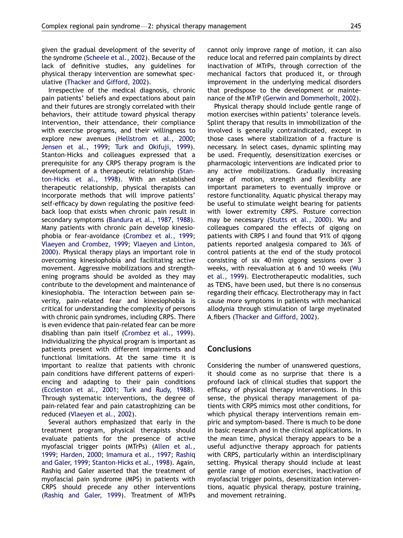given the gradual development of the severity of the syndrome [\(Scheele et al., 2002](#page-6-0)). Because of the lack of definitive studies, any guidelines for physical therapy intervention are somewhat speculative [\(Thacker and Gifford, 2002](#page-6-0)).

Irrespective of the medical diagnosis, chronic pain patients' beliefs and expectations about pain and their futures are strongly correlated with their behaviors, their attitude toward physical therapy intervention, their attendance, their compliance with exercise programs, and their willingness to explore new avenues [\(Hellstrom et al., 2000;](#page-5-0) [Jensen et al., 1999](#page-5-0); [Turk and Okifuji, 1999](#page-6-0)). Stanton-Hicks and colleagues expressed that a prerequisite for any CRPS therapy program is the development of a therapeutic relationship ([Stan](#page-6-0)[ton-Hicks et al., 1998](#page-6-0)). With an established therapeutic relationship, physical therapists can incorporate methods that will improve patients' self-efficacy by down regulating the positive feedback loop that exists when chronic pain result in secondary symptoms ([Bandura et al., 1987, 1988](#page-5-0)). Many patients with chronic pain develop kinesiophobia or fear-avoidance [\(Crombez et al., 1999](#page-5-0); [Vlaeyen and Crombez, 1999](#page-6-0); [Vlaeyen and Linton,](#page-6-0) [2000](#page-6-0)). Physical therapy plays an important role in overcoming kinesiophobia and facilitating active movement. Aggressive mobilizations and strengthening programs should be avoided as they may contribute to the development and maintenance of kinesiophobia. The interaction between pain severity, pain-related fear and kinesiophobia is critical for understanding the complexity of persons with chronic pain syndromes, including CRPS. There is even evidence that pain-related fear can be more disabling than pain itself ([Crombez et al., 1999](#page-5-0)). Individualizing the physical program is important as patients present with different impairments and functional limitations. At the same time it is important to realize that patients with chronic pain conditions have different patterns of experiencing and adapting to their pain conditions [\(Eccleston et al., 2001](#page-5-0); [Turk and Rudy, 1988](#page-6-0)). Through systematic interventions, the degree of pain-related fear and pain catastrophizing can be reduced [\(Vlaeyen et al., 2002](#page-6-0)).

Several authors emphasized that early in the treatment program, physical therapists should evaluate patients for the presence of active myofascial trigger points (MTrPs) [\(Allen et al.,](#page-5-0) [1999](#page-5-0); [Harden, 2000;](#page-5-0) [Imamura et al., 1997;](#page-5-0) [Rashiq](#page-6-0) [and Galer, 1999](#page-6-0); [Stanton-Hicks et al., 1998\)](#page-6-0). Again, Rashiq and Galer asserted that the treatment of myofascial pain syndrome (MPS) in patients with CRPS should precede any other interventions [\(Rashiq and Galer, 1999](#page-6-0)). Treatment of MTrPs cannot only improve range of motion, it can also reduce local and referred pain complaints by direct inactivation of MTrPs, through correction of the mechanical factors that produced it, or through improvement in the underlying medical disorders that predispose to the development or maintenance of the MTrP ([Gerwin and Dommerholt, 2002](#page-5-0)).

Physical therapy should include gentle range of motion exercises within patients' tolerance levels. Splint therapy that results in immobilization of the involved is generally contraindicated, except in those cases where stabilization of a fracture is necessary. In select cases, dynamic splinting may be used. Frequently, desensitization exercises or pharmacologic interventions are indicated prior to any active mobilizations. Gradually increasing range of motion, strength and flexibility are important parameters to eventually improve or restore functionality. Aquatic physical therapy may be useful to stimulate weight bearing for patients with lower extremity CRPS. Posture correction may be necessary [\(Stutts et al., 2000](#page-6-0)). Wu and colleagues compared the effects of qigong on patients with CRPS I and found that 91% of qigong patients reported analgesia compared to 36% of control patients at the end of the study protocol consisting of six 40 min qigong sessions over 3 weeks, with reevaluation at 6 and 10 weeks [\(Wu](#page-7-0) [et al., 1999\)](#page-7-0). Electrotherapeutic modalities, such as TENS, have been used, but there is no consensus regarding their efficacy. Electrotherapy may in fact cause more symptoms in patients with mechanical allodynia through stimulation of large myelinated A fibers [\(Thacker and Gifford, 2002\)](#page-6-0).

## **Conclusions**

Considering the number of unanswered questions, it should come as no surprise that there is a profound lack of clinical studies that support the efficacy of physical therapy interventions. In this sense, the physical therapy management of patients with CRPS mimics most other conditions, for which physical therapy interventions remain empiric and symptom-based. There is much to be done in basic research and in the clinical applications. In the mean time, physical therapy appears to be a useful adjunctive therapy approach for patients with CRPS, particularly within an interdisciplinary setting. Physical therapy should include at least gentle range of motion exercises, inactivation of myofascial trigger points, desensitization interventions, aquatic physical therapy, posture training, and movement retraining.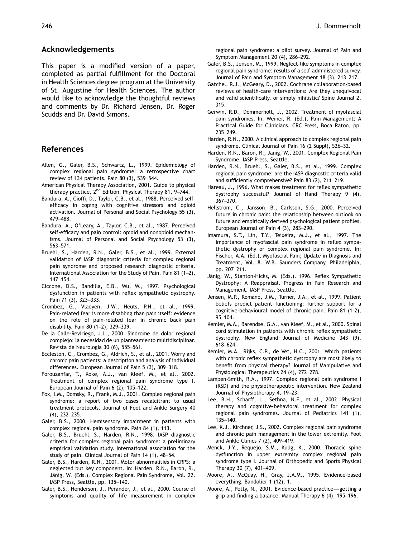# <span id="page-5-0"></span>Acknowledgements

This paper is a modified version of a paper, completed as partial fulfillment for the Doctoral in Health Sciences degree program at the University of St. Augustine for Health Sciences. The author would like to acknowledge the thoughtful reviews and comments by Dr. Richard Jensen, Dr. Roger Scudds and Dr. David Simons.

# References

- Allen, G., Galer, B.S., Schwartz, L., 1999. Epidemiology of complex regional pain syndrome: a retrospective chart review of 134 patients. Pain 80 (3), 539–544.
- American Physical Therapy Association, 2001. Guide to physical therapy practice,  $2^{nd}$  Edition. Physical Therapy 81, 9–744.
- Bandura, A., Cioffi, D., Taylor, C.B., et al., 1988. Perceived selfefficacy in coping with cognitive stressors and opioid activation. Journal of Personal and Social Psychology 55 (3), 479–488.
- Bandura, A., O'Leary, A., Taylor, C.B., et al., 1987. Perceived self-efficacy and pain control: opioid and nonopioid mechanisms. Journal of Personal and Social Psychology 53 (3), 563–571.
- Bruehl, S., Harden, R.N., Galer, B.S., et al., 1999. External validation of IASP diagnostic criteria for complex regional pain syndrome and proposed research diagnostic criteria. International Association for the Study of Pain. Pain 81 (1–2), 147–154.
- Ciccone, D.S., Bandilla, E.B., Wu, W., 1997. Psychological dysfunction in patients with reflex sympathetic dystrophy. Pain 71 (3), 323–333.
- Crombez, G., Vlaeyen, J.W., Heuts, P.H., et al., 1999. Pain-related fear is more disabling than pain itself: evidence on the role of pain-related fear in chronic back pain disability. Pain 80 (1–2), 329–339.
- De la Calle-Reviriego, J.L., 2000. Sindrome de dolor regional complejo: la necesidad de un planteamiento multidisciplinar. Revista de Neurologia 30 (6), 555–561.
- Eccleston, C., Crombez, G., Aldrich, S., et al., 2001. Worry and chronic pain patients: a description and analysis of individual differences. European Journal of Pain 5 (3), 309–318.
- Forouzanfar, T., Koke, A.J., van Kleef, M., et al., 2002. Treatment of complex regional pain syndrome type I. European Journal of Pain 6 (2), 105–122.
- Fox, I.M., Domsky, R., Frank, M.J., 2001. Complex regional pain syndrome: a report of two cases recalcitrant to usual treatment protocols. Journal of Foot and Ankle Surgery 40 (4), 232–235.
- Galer, B.S., 2000. Hemisensory impairment in patients with complex regional pain syndrome. Pain 84 (1), 113.
- Galer, B.S., Bruehl, S., Harden, R.N., 1998. IASP diagnostic criteria for complex regional pain syndrome: a preliminary empirical validation study. International association for the study of pain. Clinical Journal of Pain 14 (1), 48–54.
- Galer, B.S., Harden, R.N., 2001. Motor abnormalities in CRPS: a neglected but key component. In: Harden, R.N., Baron, R., Jänig, W. (Eds.), Complex Regional Pain Syndrome, Vol. 22. IASP Press, Seattle, pp. 135–140.
- Galer, B.S., Henderson, J., Perander, J., et al., 2000. Course of symptoms and quality of life measurement in complex

regional pain syndrome: a pilot survey. Journal of Pain and Symptom Management 20 (4), 286–292.

- Galer, B.S., Jensen, M., 1999. Neglect-like symptoms in complex regional pain syndrome: results of a self-administered survey. Journal of Pain and Symptom Management 18 (3), 213–217.
- Gatchel, R.J., McGeary, D., 2002. Cochrane collaboration-based reviews of health-care interventions: Are they unequivocal and valid scientifically, or simply nihilistic? Spine Journal 2, 315.
- Gerwin, R.D., Dommerholt, J., 2002. Treatment of myofascial pain syndromes. In: Weiner, R. (Ed.), Pain Management; A Practical Guide for Clinicians. CRC Press, Boca Raton, pp. 235–249.
- Harden, R.N., 2000. A clinical approach to complex regional pain syndrome. Clinical Journal of Pain 16 (2 Suppl), S26–32.
- Harden, R.N., Baron, R., Jänig, W., 2001. Complex Regional Pain Syndrome. IASP Press, Seattle.
- Harden, R.N., Bruehl, S., Galer, B.S., et al., 1999. Complex regional pain syndrome: are the IASP diagnostic criteria valid and sufficiently comprehensive? Pain 83 (2), 211–219.
- Hareau, J., 1996. What makes treatment for reflex sympathetic dystrophy successful? Journal of Hand Therapy 9 (4), 367–370.
- Hellstrom, C., Jansson, B., Carlsson, S.G., 2000. Perceived future in chronic pain: the relationship between outlook on future and empirically derived psychological patient profiles. European Journal of Pain 4 (3), 283–290.
- Imamura, S.T., Lin, T.Y., Teixeira, M.J., et al., 1997. The importance of myofascial pain syndrome in reflex sympathetic dystrophy or complex regional pain syndrome. In: Fischer, A.A. (Ed.), Myofascial Pain; Update in Diagnosis and Treatment, Vol. 8. W.B. Saunders Company, Philadelphia, pp. 207–211.
- Jänig, W., Stanton-Hicks, M. (Eds.). 1996. Reflex Sympathetic Dystrophy: A Reappraisal. Progress in Pain Research and Management. IASP Press, Seattle.
- Jensen, M.P., Romano, J.M., Turner, J.A., et al., 1999. Patient beliefs predict patient functioning: further support for a cognitive-behavioural model of chronic pain. Pain 81 (1-2), 95–104.
- Kemler, M.A., Barendse, G.A., van Kleef, M., et al., 2000. Spinal cord stimulation in patients with chronic reflex sympathetic dystrophy. New England Journal of Medicine 343 (9), 618–624.
- Kemler, M.A., Rijks, C.P., de Vet, H.C., 2001. Which patients with chronic reflex sympathetic dystrophy are most likely to benefit from physical therapy? Journal of Manipulative and Physiological Therapeutics 24 (4), 272–278.
- Lampen-Smith, R.A., 1997. Complex regional pain syndrome I (RSD) and the physiotherapeutic intervention. New Zealand Journal of Physiotherapy 4, 19–23.
- Lee, B.H., Scharff, L., Sethna, N.F., et al., 2002. Physical therapy and cognitive-behavioral treatment for complex regional pain syndromes. Journal of Pediatrics 141 (1), 135–140.
- Lee, K.J., Kirchner, J.S., 2002. Complex regional pain syndrome and chronic pain management in the lower extremity. Foot and Ankle Clinics 7 (2), 409–419.
- Menck, J.Y., Requejo, S.M., Kulig, K., 2000. Thoracic spine dysfunction in upper extremity complex regional pain syndrome type I. Journal of Orthopedic and Sports Physical Therapy 30 (7), 401–409.
- Moore, A., McQuay, H., Gray, J.A.M., 1995. Evidence-based everything. Bandolier 1 (12), 1.
- Moore, A., Petty, N., 2001. Evidence-based practice-getting a grip and finding a balance. Manual Therapy 6 (4), 195–196.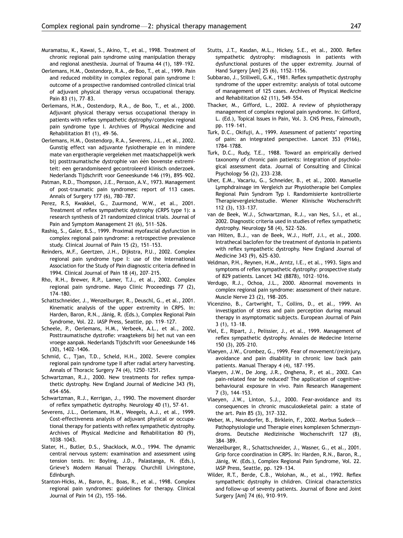- <span id="page-6-0"></span>Muramatsu, K., Kawai, S., Akino, T., et al., 1998. Treatment of chronic regional pain syndrome using manipulation therapy and regional anesthesia. Journal of Trauma 44 (1), 189–192.
- Oerlemans, H.M., Oostendorp, R.A., de Boo, T., et al., 1999. Pain and reduced mobility in complex regional pain syndrome I: outcome of a prospective randomised controlled clinical trial of adjuvant physical therapy versus occupational therapy. Pain 83 (1), 77–83.
- Oerlemans, H.M., Oostendorp, R.A., de Boo, T., et al., 2000. Adjuvant physical therapy versus occupational therapy in patients with reflex sympathetic dystrophy/complex regional pain syndrome type I. Archives of Physical Medicine and Rehabilitation 81 (1), 49–56.
- Oerlemans, H.M., Oostendorp, R.A., Severens, J.L., et al., 2002. Gunstig effect van adjuvante fysiotherapie en in mindere mate van ergotherapie vergeleken met maatschappelijk werk bij posttraumatische dystrophie van één bovenste extremiteit: een gerandomiseerd gecontroleerd klinisch onderzoek. Nederlands Tijdschrift voor Geneeskunde 146 (19), 895–902.
- Patman, R.D., Thompson, J.E., Persson, A.V., 1973. Management of post-traumatic pain syndromes: report of 113 cases. Annals of Surgery 177 (6), 780–787.
- Perez, R.S, Kwakkel, G., Zuurmond, W.W., et al., 2001. Treatment of reflex sympathetic dystrophy (CRPS type 1): a research synthesis of 21 randomized clinical trials. Journal of Pain and Symptom Management 21 (6), 511–526.
- Rashiq, S., Galer, B.S., 1999. Proximal myofascial dysfunction in complex regional pain syndrome: a retrospective prevalence study. Clinical Journal of Pain 15 (2), 151–153.
- Reinders, M.F., Geertzen, J.H., Dijkstra, P.U., 2002. Complex regional pain syndrome type I: use of the International Association for the Study of Pain diagnostic criteria defined in 1994. Clinical Journal of Pain 18 (4), 207–215.
- Rho, R.H., Brewer, R.P., Lamer, T.J., et al., 2002. Complex regional pain syndrome. Mayo Clinic Proceedings 77 (2), 174–180.
- Schattschneider, J., Wenzelburger, R., Deuschl, G., et al., 2001. Kinematic analysis of the upper extremity in CRPS. In: Harden, Baron, R.N., Jänig, R. (Eds.), Complex Regional Pain Syndrome, Vol. 22. IASP Press, Seattle, pp. 119–127.
- Scheele, P., Oerlemans, H.M., Verbeek, A.L., et al., 2002. Posttraumatische dystrofie: vraagtekens bij het nut van een vroege aanpak. Nederlands Tijdschrift voor Geneeskunde 146 (30), 1402–1406.
- Schmid, C., Tjan, T.D., Scheld, H.H., 2002. Severe complex regional pain syndrome type II after radial artery harvesting. Annals of Thoracic Surgery 74 (4), 1250–1251.
- Schwartzman, R.J., 2000. New treatments for reflex sympathetic dystrophy. New England Journal of Medicine 343 (9), 654–656.
- Schwartzman, R.J., Kerrigan, J., 1990. The movement disorder of reflex sympathetic dystrophy. Neurology 40 (1), 57–61.
- Severens, J.L., Oerlemans, H.M., Weegels, A.J., et al., 1999. Cost-effectiveness analysis of adjuvant physical or occupational therapy for patients with reflex sympathetic dystrophy. Archives of Physical Medicine and Rehabilitation 80 (9), 1038–1043.
- Slater, H., Butler, D.S., Shacklock, M.O., 1994. The dynamic central nervous system: examination and assessment using tension tests. In: Boyling, J.D., Palastanga, N. (Eds.), Grieve's Modern Manual Therapy. Churchill Livingstone, Edinburgh.
- Stanton-Hicks, M., Baron, R., Boas, R., et al., 1998. Complex regional pain syndromes: guidelines for therapy. Clinical Journal of Pain 14 (2), 155–166.
- Stutts, J.T., Kasdan, M.L., Hickey, S.E., et al., 2000. Reflex sympathetic dystrophy: misdiagnosis in patients with dysfunctional postures of the upper extremity. Journal of Hand Surgery [Am] 25 (6), 1152–1156.
- Subbarao, J., Stillwell, G.K., 1981. Reflex sympathetic dystrophy syndrome of the upper extremity: analysis of total outcome of management of 125 cases. Archives of Physical Medicine and Rehabilitation 62 (11), 549–554.
- Thacker, M., Gifford, L., 2002. A review of physiotherapy management of complex regional pain syndrome. In: Gifford, L. (Ed.), Topical Issues in Pain, Vol. 3. CNS Press, Falmouth, pp. 119–141.
- Turk, D.C., Okifuji, A., 1999. Assessment of patients' reporting of pain: an integrated perspective. Lancet 353 (9166), 1784–1788.
- Turk, D.C., Rudy, T.E., 1988. Toward an empirically derived taxonomy of chronic pain patients: integration of psychological assessment data. Journal of Consulting and Clinical Psychology 56 (2), 233–238.
- Uher, E.M., Vacariu, G., Schneider, B., et al., 2000. Manuelle Lymphdrainage im Vergleich zur Physiotherapie bei Complex Regional Pain Syndrom Typ I. Randomisierte kontrollierte Therapievergleichsstudie. Wiener Klinische Wochenschrift 112 (3), 133–137.
- van de Beek, W.J., Schwartzman, R.J., van Nes, S.I., et al., 2002. Diagnostic criteria used in studies of reflex sympathetic dystrophy. Neurology 58 (4), 522–526.
- van Hilten, B.J., van de Beek, W.J., Hoff, J.I., et al., 2000. Intrathecal baclofen for the treatment of dystonia in patients with reflex sympathetic dystrophy. New England Journal of Medicine 343 (9), 625–630.
- Veldman, P.H., Reynen, H.M., Arntz, I.E., et al., 1993. Signs and symptoms of reflex sympathetic dystrophy: prospective study of 829 patients. Lancet 342 (8878), 1012–1016.
- Verdugo, R.J., Ochoa, J.L., 2000. Abnormal movements in complex regional pain syndrome: assessment of their nature. Muscle Nerve 23 (2), 198–205.
- Vicenzino, B., Cartwright, T., Collins, D., et al., 1999. An investigation of stress and pain perception during manual therapy in asymptomatic subjects. European Journal of Pain 3 (1), 13–18.
- Viel, E., Ripart, J., Pelissier, J., et al., 1999. Management of reflex sympathetic dystrophy. Annales de Medecine Interne 150 (3), 205–210.
- Vlaeyen, J.W., Crombez, G., 1999. Fear of movement/(re)injury, avoidance and pain disability in chronic low back pain patients. Manual Therapy 4 (4), 187–195.
- Vlaeyen, J.W., De Jong, J.R., Onghena, P., et al., 2002. Can pain-related fear be reduced? The application of cognitivebehavioural exposure in vivo. Pain Research Management 7 (3), 144–153.
- Vlaeyen, J.W., Linton, S.J., 2000. Fear-avoidance and its consequences in chronic musculoskeletal pain: a state of the art. Pain 85 (3), 317–332.
- Weber, M., Neundorfer, B., Birklein, F., 2002. Morbus Sudeck-Pathophysiologie und Therapie eines komplexen Schmerzsyndroms. Deutsche Medizinische Wochenschrift 127 (8), 384–389.
- Wenzelburger, R., Schattschneider, J., Wasner, G., et al., 2001. Grip force coordination in CRPS. In: Harden, R.N., Baron, R., Jänig, W. (Eds.), Complex Regional Pain Syndrome, Vol. 22. IASP Press, Seattle, pp. 129–134.
- Wilder, R.T., Berde, C.B., Wolohan, M., et al., 1992. Reflex sympathetic dystrophy in children. Clinical characteristics and follow-up of seventy patients. Journal of Bone and Joint Surgery [Am] 74 (6), 910–919.